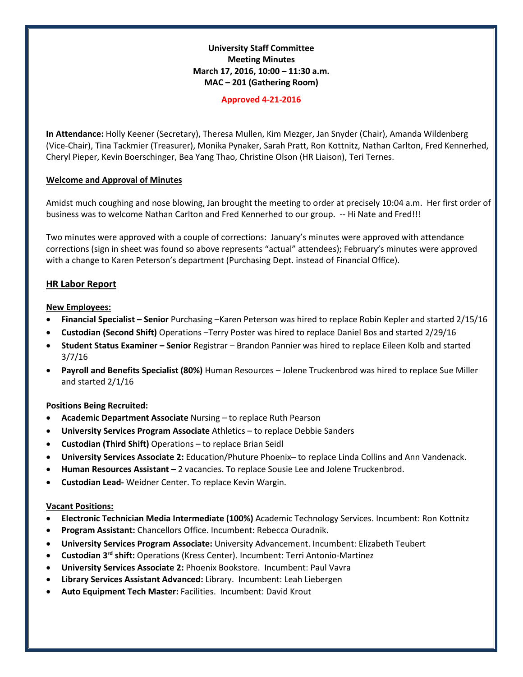## **University Staff Committee Meeting Minutes March 17, 2016, 10:00 – 11:30 a.m. MAC – 201 (Gathering Room)**

#### **Approved 4-21-2016**

**In Attendance:** Holly Keener (Secretary), Theresa Mullen, Kim Mezger, Jan Snyder (Chair), Amanda Wildenberg (Vice-Chair), Tina Tackmier (Treasurer), Monika Pynaker, Sarah Pratt, Ron Kottnitz, Nathan Carlton, Fred Kennerhed, Cheryl Pieper, Kevin Boerschinger, Bea Yang Thao, Christine Olson (HR Liaison), Teri Ternes.

### **Welcome and Approval of Minutes**

Amidst much coughing and nose blowing, Jan brought the meeting to order at precisely 10:04 a.m. Her first order of business was to welcome Nathan Carlton and Fred Kennerhed to our group. -- Hi Nate and Fred!!!

Two minutes were approved with a couple of corrections: January's minutes were approved with attendance corrections (sign in sheet was found so above represents "actual" attendees); February's minutes were approved with a change to Karen Peterson's department (Purchasing Dept. instead of Financial Office).

# **HR Labor Report**

## **New Employees:**

- **Financial Specialist – Senior** Purchasing –Karen Peterson was hired to replace Robin Kepler and started 2/15/16
- **Custodian (Second Shift)** Operations –Terry Poster was hired to replace Daniel Bos and started 2/29/16
- **Student Status Examiner – Senior** Registrar Brandon Pannier was hired to replace Eileen Kolb and started 3/7/16
- **Payroll and Benefits Specialist (80%)** Human Resources Jolene Truckenbrod was hired to replace Sue Miller and started 2/1/16

### **Positions Being Recruited:**

- **Academic Department Associate** Nursing to replace Ruth Pearson
- **University Services Program Associate** Athletics to replace Debbie Sanders
- **Custodian (Third Shift)** Operations to replace Brian Seidl
- **University Services Associate 2:** Education/Phuture Phoenix– to replace Linda Collins and Ann Vandenack.
- **Human Resources Assistant –** 2 vacancies. To replace Sousie Lee and Jolene Truckenbrod.
- **Custodian Lead-** Weidner Center. To replace Kevin Wargin.

### **Vacant Positions:**

- **Electronic Technician Media Intermediate (100%)** Academic Technology Services. Incumbent: Ron Kottnitz
- **Program Assistant:** Chancellors Office. Incumbent: Rebecca Ouradnik.
- **University Services Program Associate:** University Advancement. Incumbent: Elizabeth Teubert
- **Custodian 3rd shift:** Operations (Kress Center). Incumbent: Terri Antonio-Martinez
- **University Services Associate 2:** Phoenix Bookstore. Incumbent: Paul Vavra
- **Library Services Assistant Advanced:** Library. Incumbent: Leah Liebergen
- **Auto Equipment Tech Master:** Facilities. Incumbent: David Krout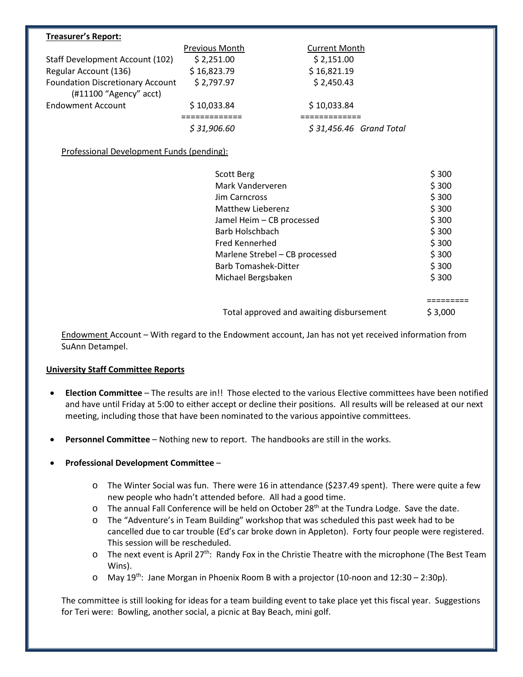#### **Treasurer's Report:**

|                                                                     | Previous Month | <b>Current Month</b>     |
|---------------------------------------------------------------------|----------------|--------------------------|
| Staff Development Account (102)                                     | \$2,251.00     | \$2,151.00               |
| Regular Account (136)                                               | \$16,823.79    | \$16,821.19              |
| <b>Foundation Discretionary Account</b><br>$(H11100$ "Agency" acct) | \$2,797.97     | \$2,450.43               |
| <b>Endowment Account</b>                                            | \$10,033.84    | \$10,033.84              |
|                                                                     |                |                          |
|                                                                     | \$31,906.60    | $$31,456.46$ Grand Total |

Professional Development Funds (pending):

| Scott Berg                     | \$300 |
|--------------------------------|-------|
| Mark Vanderveren               | \$300 |
| Jim Carncross                  | \$300 |
| Matthew Lieberenz              | \$300 |
| Jamel Heim - CB processed      | \$300 |
| Barb Holschbach                | \$300 |
| Fred Kennerhed                 | \$300 |
| Marlene Strebel - CB processed | \$300 |
| <b>Barb Tomashek-Ditter</b>    | \$300 |
| Michael Bergsbaken             | \$300 |

=========

Total approved and awaiting disbursement \$ 3,000

Endowment Account – With regard to the Endowment account, Jan has not yet received information from SuAnn Detampel.

# **University Staff Committee Reports**

- **Election Committee**  The results are in!! Those elected to the various Elective committees have been notified and have until Friday at 5:00 to either accept or decline their positions. All results will be released at our next meeting, including those that have been nominated to the various appointive committees.
- **Personnel Committee**  Nothing new to report. The handbooks are still in the works.
- **Professional Development Committee**
	- o The Winter Social was fun. There were 16 in attendance (\$237.49 spent). There were quite a few new people who hadn't attended before. All had a good time.
	- $\circ$  The annual Fall Conference will be held on October 28<sup>th</sup> at the Tundra Lodge. Save the date.
	- o The "Adventure's in Team Building" workshop that was scheduled this past week had to be cancelled due to car trouble (Ed's car broke down in Appleton). Forty four people were registered. This session will be rescheduled.
	- o The next event is April 27<sup>th</sup>: Randy Fox in the Christie Theatre with the microphone (The Best Team Wins).
	- o May 19th: Jane Morgan in Phoenix Room B with a projector (10-noon and 12:30 2:30p).

The committee is still looking for ideas for a team building event to take place yet this fiscal year. Suggestions for Teri were: Bowling, another social, a picnic at Bay Beach, mini golf.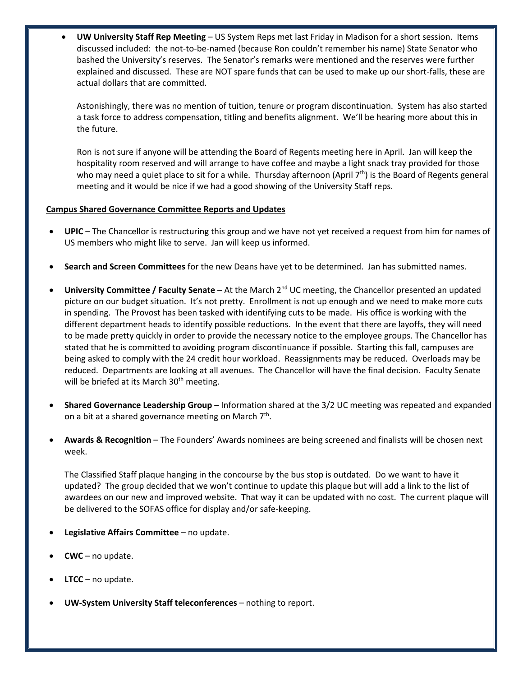• **UW University Staff Rep Meeting** – US System Reps met last Friday in Madison for a short session. Items discussed included: the not-to-be-named (because Ron couldn't remember his name) State Senator who bashed the University's reserves. The Senator's remarks were mentioned and the reserves were further explained and discussed. These are NOT spare funds that can be used to make up our short-falls, these are actual dollars that are committed.

Astonishingly, there was no mention of tuition, tenure or program discontinuation. System has also started a task force to address compensation, titling and benefits alignment. We'll be hearing more about this in the future.

Ron is not sure if anyone will be attending the Board of Regents meeting here in April. Jan will keep the hospitality room reserved and will arrange to have coffee and maybe a light snack tray provided for those who may need a quiet place to sit for a while. Thursday afternoon (April 7<sup>th</sup>) is the Board of Regents general meeting and it would be nice if we had a good showing of the University Staff reps.

## **Campus Shared Governance Committee Reports and Updates**

- **UPIC**  The Chancellor is restructuring this group and we have not yet received a request from him for names of US members who might like to serve. Jan will keep us informed.
- **Search and Screen Committees** for the new Deans have yet to be determined. Jan has submitted names.
- **University Committee / Faculty Senate**  At the March 2nd UC meeting, the Chancellor presented an updated picture on our budget situation. It's not pretty. Enrollment is not up enough and we need to make more cuts in spending. The Provost has been tasked with identifying cuts to be made. His office is working with the different department heads to identify possible reductions. In the event that there are layoffs, they will need to be made pretty quickly in order to provide the necessary notice to the employee groups. The Chancellor has stated that he is committed to avoiding program discontinuance if possible. Starting this fall, campuses are being asked to comply with the 24 credit hour workload. Reassignments may be reduced. Overloads may be reduced. Departments are looking at all avenues. The Chancellor will have the final decision. Faculty Senate will be briefed at its March  $30<sup>th</sup>$  meeting.
- **Shared Governance Leadership Group**  Information shared at the 3/2 UC meeting was repeated and expanded on a bit at a shared governance meeting on March  $7<sup>th</sup>$ .
- **Awards & Recognition**  The Founders' Awards nominees are being screened and finalists will be chosen next week.

The Classified Staff plaque hanging in the concourse by the bus stop is outdated. Do we want to have it updated? The group decided that we won't continue to update this plaque but will add a link to the list of awardees on our new and improved website. That way it can be updated with no cost. The current plaque will be delivered to the SOFAS office for display and/or safe-keeping.

- **Legislative Affairs Committee** no update.
- **CWC**  no update.
- **LTCC** no update.
- **UW-System University Staff teleconferences** nothing to report.